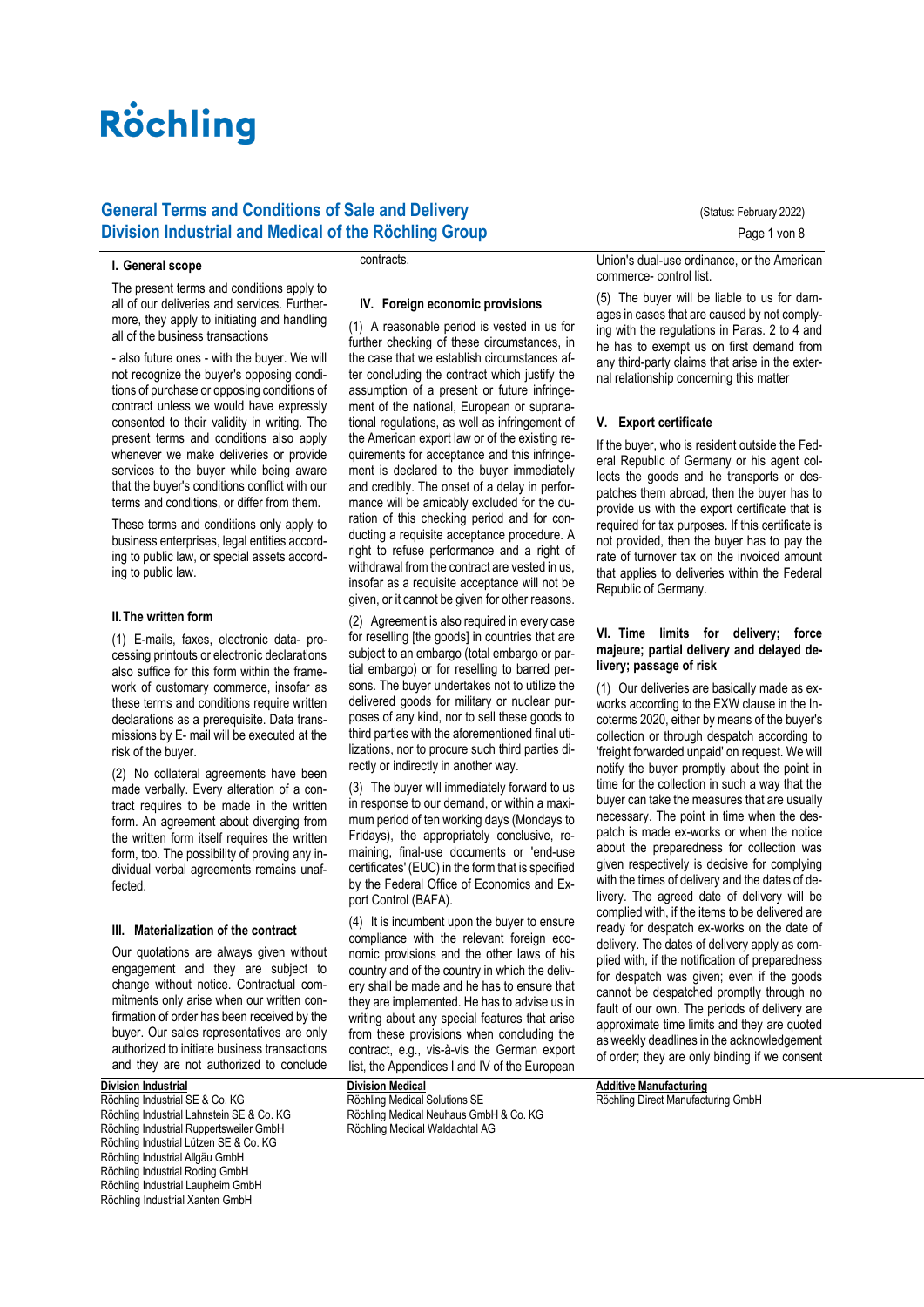# **General Terms and Conditions of Sale and Delivery Concrete August 2022** (Status: February 2022) **Division Industrial and Medical of the Röchling Group** Page 1 von 8

#### **I. General scope**

The present terms and conditions apply to all of our deliveries and services. Furthermore, they apply to initiating and handling all of the business transactions

- also future ones - with the buyer. We will not recognize the buyer's opposing conditions of purchase or opposing conditions of contract unless we would have expressly consented to their validity in writing. The present terms and conditions also apply whenever we make deliveries or provide services to the buyer while being aware that the buyer's conditions conflict with our terms and conditions, or differ from them.

These terms and conditions only apply to business enterprises, legal entities according to public law, or special assets according to public law.

#### **II.The written form**

(1) E-mails, faxes, electronic data- processing printouts or electronic declarations also suffice for this form within the framework of customary commerce, insofar as these terms and conditions require written declarations as a prerequisite. Data transmissions by E- mail will be executed at the risk of the buyer.

(2) No collateral agreements have been made verbally. Every alteration of a contract requires to be made in the written form. An agreement about diverging from the written form itself requires the written form, too. The possibility of proving any individual verbal agreements remains unaffected.

### **III. Materialization of the contract**

Our quotations are always given without engagement and they are subject to change without notice. Contractual commitments only arise when our written confirmation of order has been received by the buyer. Our sales representatives are only authorized to initiate business transactions and they are not authorized to conclude

# **Division Industrial**

Röchling Industrial SE & Co. KG Röchling Industrial Lahnstein SE & Co. KG Röchling Industrial Ruppertsweiler GmbH Röchling Industrial Lützen SE & Co. KG Röchling Industrial Allgäu GmbH Röchling Industrial Roding GmbH Röchling Industrial Laupheim GmbH Röchling Industrial Xanten GmbH

contracts.

## **IV. Foreign economic provisions**

(1) A reasonable period is vested in us for further checking of these circumstances, in the case that we establish circumstances after concluding the contract which justify the assumption of a present or future infringement of the national, European or supranational regulations, as well as infringement of the American export law or of the existing requirements for acceptance and this infringement is declared to the buyer immediately and credibly. The onset of a delay in performance will be amicably excluded for the duration of this checking period and for conducting a requisite acceptance procedure. A right to refuse performance and a right of withdrawal from the contract are vested in us. insofar as a requisite acceptance will not be given, or it cannot be given for other reasons.

(2) Agreement is also required in every case for reselling [the goods] in countries that are subject to an embargo (total embargo or partial embargo) or for reselling to barred persons. The buyer undertakes not to utilize the delivered goods for military or nuclear purposes of any kind, nor to sell these goods to third parties with the aforementioned final utilizations, nor to procure such third parties directly or indirectly in another way.

(3) The buyer will immediately forward to us in response to our demand, or within a maximum period of ten working days (Mondays to Fridays), the appropriately conclusive, remaining, final-use documents or 'end-use certificates' (EUC) in the form that is specified by the Federal Office of Economics and Export Control (BAFA).

(4) It is incumbent upon the buyer to ensure compliance with the relevant foreign economic provisions and the other laws of his country and of the country in which the delivery shall be made and he has to ensure that they are implemented. He has to advise us in writing about any special features that arise from these provisions when concluding the contract, e.g., vis-à-vis the German export list, the Appendices I and IV of the European

**Division Medical** Röchling Medical Solutions SE Röchling Medical Neuhaus GmbH & Co. KG Röchling Medical Waldachtal AG

Union's dual-use ordinance, or the American commerce- control list.

(5) The buyer will be liable to us for damages in cases that are caused by not complying with the regulations in Paras. 2 to 4 and he has to exempt us on first demand from any third-party claims that arise in the external relationship concerning this matter

#### **V. Export certificate**

If the buyer, who is resident outside the Federal Republic of Germany or his agent collects the goods and he transports or despatches them abroad, then the buyer has to provide us with the export certificate that is required for tax purposes. If this certificate is not provided, then the buyer has to pay the rate of turnover tax on the invoiced amount that applies to deliveries within the Federal Republic of Germany.

#### **VI. Time limits for delivery; force majeure; partial delivery and delayed delivery; passage of risk**

(1) Our deliveries are basically made as exworks according to the EXW clause in the Incoterms 2020, either by means of the buyer's collection or through despatch according to 'freight forwarded unpaid' on request. We will notify the buyer promptly about the point in time for the collection in such a way that the buyer can take the measures that are usually necessary. The point in time when the despatch is made ex-works or when the notice about the preparedness for collection was given respectively is decisive for complying with the times of delivery and the dates of delivery. The agreed date of delivery will be complied with, if the items to be delivered are ready for despatch ex-works on the date of delivery. The dates of delivery apply as complied with, if the notification of preparedness for despatch was given; even if the goods cannot be despatched promptly through no fault of our own. The periods of delivery are approximate time limits and they are quoted as weekly deadlines in the acknowledgement of order; they are only binding if we consent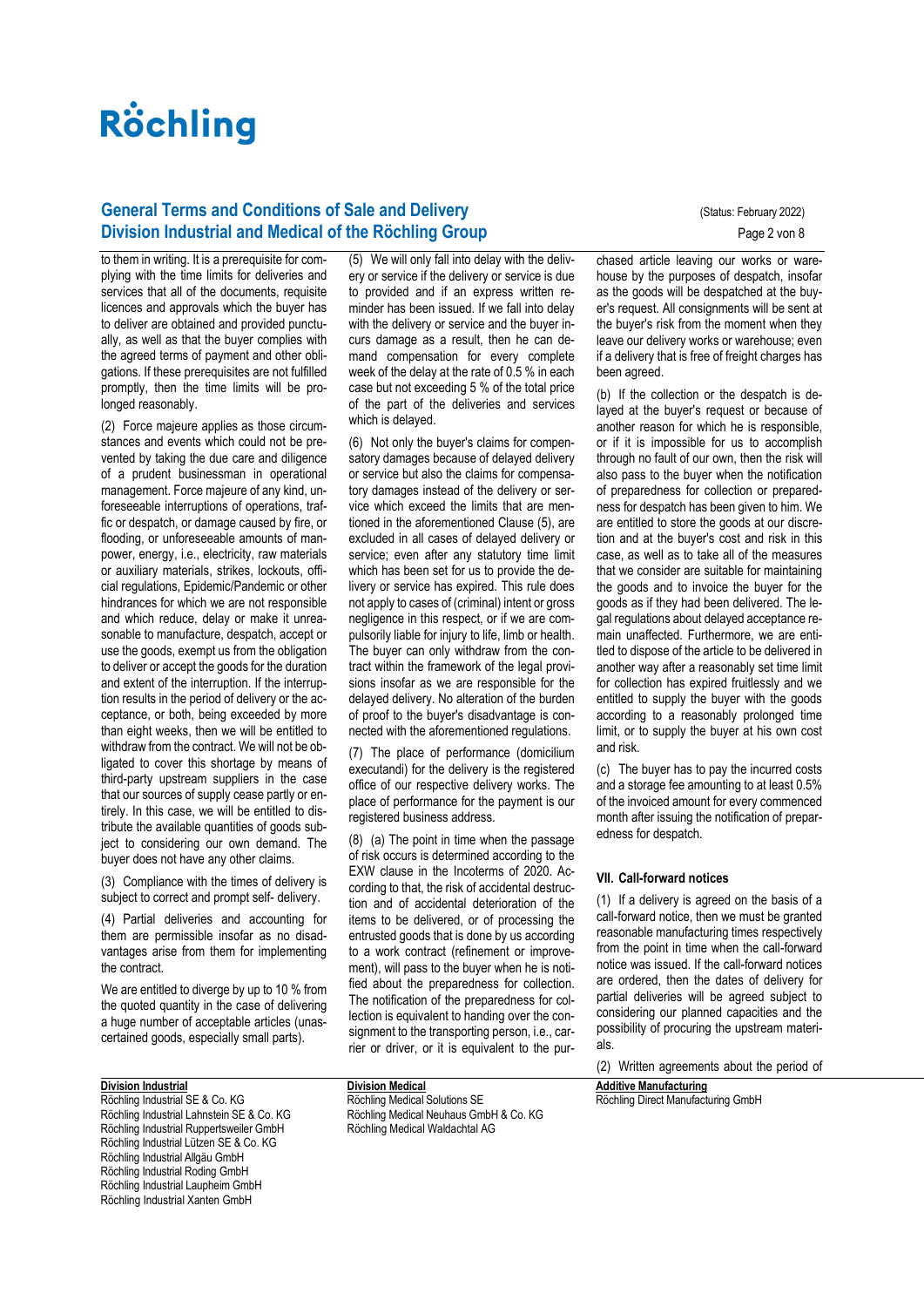# **General Terms and Conditions of Sale and Delivery Concrete Conducts** (Status: February 2022) **Division Industrial and Medical of the Röchling Group** Page 2 von 8

to them in writing. It is a prerequisite for complying with the time limits for deliveries and services that all of the documents, requisite licences and approvals which the buyer has to deliver are obtained and provided punctually, as well as that the buyer complies with the agreed terms of payment and other obligations. If these prerequisites are not fulfilled promptly, then the time limits will be prolonged reasonably.

(2) Force majeure applies as those circumstances and events which could not be prevented by taking the due care and diligence of a prudent businessman in operational management. Force majeure of any kind, unforeseeable interruptions of operations, traffic or despatch, or damage caused by fire, or flooding, or unforeseeable amounts of manpower, energy, i.e., electricity, raw materials or auxiliary materials, strikes, lockouts, official regulations, Epidemic/Pandemic or other hindrances for which we are not responsible and which reduce, delay or make it unreasonable to manufacture, despatch, accept or use the goods, exempt us from the obligation to deliver or accept the goods for the duration and extent of the interruption. If the interruption results in the period of delivery or the acceptance, or both, being exceeded by more than eight weeks, then we will be entitled to withdraw from the contract. We will not be obligated to cover this shortage by means of third-party upstream suppliers in the case that our sources of supply cease partly or entirely. In this case, we will be entitled to distribute the available quantities of goods subject to considering our own demand. The buyer does not have any other claims.

(3) Compliance with the times of delivery is subject to correct and prompt self- delivery.

(4) Partial deliveries and accounting for them are permissible insofar as no disadvantages arise from them for implementing the contract.

We are entitled to diverge by up to 10 % from the quoted quantity in the case of delivering a huge number of acceptable articles (unascertained goods, especially small parts).

# **Division Industrial**

Röchling Industrial SE & Co. KG Röchling Industrial Lahnstein SE & Co. KG Röchling Industrial Ruppertsweiler GmbH Röchling Industrial Lützen SE & Co. KG Röchling Industrial Allgäu GmbH Röchling Industrial Roding GmbH Röchling Industrial Laupheim GmbH Röchling Industrial Xanten GmbH

(5) We will only fall into delay with the delivery or service if the delivery or service is due to provided and if an express written reminder has been issued. If we fall into delay with the delivery or service and the buyer incurs damage as a result, then he can demand compensation for every complete week of the delay at the rate of 0.5 % in each case but not exceeding 5 % of the total price of the part of the deliveries and services which is delayed.

(6) Not only the buyer's claims for compensatory damages because of delayed delivery or service but also the claims for compensatory damages instead of the delivery or service which exceed the limits that are mentioned in the aforementioned Clause (5), are excluded in all cases of delayed delivery or service; even after any statutory time limit which has been set for us to provide the delivery or service has expired. This rule does not apply to cases of (criminal) intent or gross negligence in this respect, or if we are compulsorily liable for injury to life, limb or health. The buyer can only withdraw from the contract within the framework of the legal provisions insofar as we are responsible for the delayed delivery. No alteration of the burden of proof to the buyer's disadvantage is connected with the aforementioned regulations.

(7) The place of performance (domicilium executandi) for the delivery is the registered office of our respective delivery works. The place of performance for the payment is our registered business address.

(8) (a) The point in time when the passage of risk occurs is determined according to the EXW clause in the Incoterms of 2020. According to that, the risk of accidental destruction and of accidental deterioration of the items to be delivered, or of processing the entrusted goods that is done by us according to a work contract (refinement or improvement), will pass to the buyer when he is notified about the preparedness for collection. The notification of the preparedness for collection is equivalent to handing over the consignment to the transporting person, i.e., carrier or driver, or it is equivalent to the pur-

chased article leaving our works or warehouse by the purposes of despatch, insofar as the goods will be despatched at the buyer's request. All consignments will be sent at the buyer's risk from the moment when they leave our delivery works or warehouse; even if a delivery that is free of freight charges has been agreed.

(b) If the collection or the despatch is delayed at the buyer's request or because of another reason for which he is responsible, or if it is impossible for us to accomplish through no fault of our own, then the risk will also pass to the buyer when the notification of preparedness for collection or preparedness for despatch has been given to him. We are entitled to store the goods at our discretion and at the buyer's cost and risk in this case, as well as to take all of the measures that we consider are suitable for maintaining the goods and to invoice the buyer for the goods as if they had been delivered. The legal regulations about delayed acceptance remain unaffected. Furthermore, we are entitled to dispose of the article to be delivered in another way after a reasonably set time limit for collection has expired fruitlessly and we entitled to supply the buyer with the goods according to a reasonably prolonged time limit, or to supply the buyer at his own cost and risk.

(c) The buyer has to pay the incurred costs and a storage fee amounting to at least 0.5% of the invoiced amount for every commenced month after issuing the notification of preparedness for despatch.

#### **VII. Call-forward notices**

(1) If a delivery is agreed on the basis of a call-forward notice, then we must be granted reasonable manufacturing times respectively from the point in time when the call-forward notice was issued. If the call-forward notices are ordered, then the dates of delivery for partial deliveries will be agreed subject to considering our planned capacities and the possibility of procuring the upstream materials.

(2) Written agreements about the period of

**Additive Manufacturing** [Röchling Direct Manufacturing GmbH](https://www.roechling.com/de/gruppe/additive-fertigung)

**Division Medical** Röchling Medical Solutions SE Röchling Medical Neuhaus GmbH & Co. KG Röchling Medical Waldachtal AG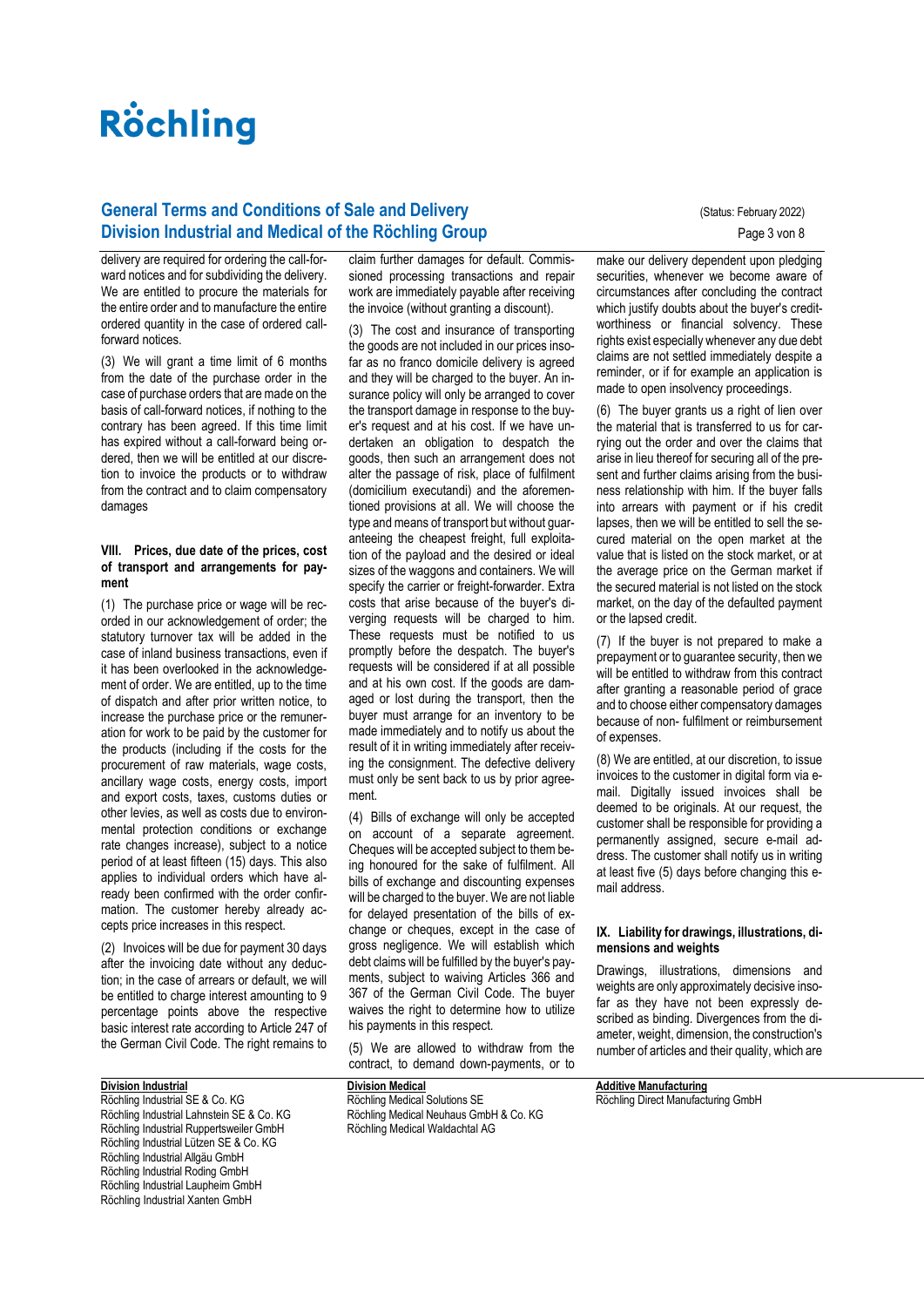# **General Terms and Conditions of Sale and Delivery Concrete Conducts** (Status: February 2022) **Division Industrial and Medical of the Röchling Group Page 3 von 8** Page 3 von 8

delivery are required for ordering the call-forward notices and for subdividing the delivery. We are entitled to procure the materials for the entire order and to manufacture the entire ordered quantity in the case of ordered callforward notices.

(3) We will grant a time limit of 6 months from the date of the purchase order in the case of purchase orders that are made on the basis of call-forward notices, if nothing to the contrary has been agreed. If this time limit has expired without a call-forward being ordered, then we will be entitled at our discretion to invoice the products or to withdraw from the contract and to claim compensatory damages

#### **VIII. Prices, due date of the prices, cost of transport and arrangements for payment**

(1) The purchase price or wage will be recorded in our acknowledgement of order; the statutory turnover tax will be added in the case of inland business transactions, even if it has been overlooked in the acknowledgement of order. We are entitled, up to the time of dispatch and after prior written notice, to increase the purchase price or the remuneration for work to be paid by the customer for the products (including if the costs for the procurement of raw materials, wage costs, ancillary wage costs, energy costs, import and export costs, taxes, customs duties or other levies, as well as costs due to environmental protection conditions or exchange rate changes increase), subject to a notice period of at least fifteen (15) days. This also applies to individual orders which have already been confirmed with the order confirmation. The customer hereby already accepts price increases in this respect.

(2) Invoices will be due for payment 30 days after the invoicing date without any deduction; in the case of arrears or default, we will be entitled to charge interest amounting to 9 percentage points above the respective basic interest rate according to Article 247 of the German Civil Code. The right remains to

## **Division Industrial**

Röchling Industrial SE & Co. KG Röchling Industrial Lahnstein SE & Co. KG Röchling Industrial Ruppertsweiler GmbH Röchling Industrial Lützen SE & Co. KG Röchling Industrial Allgäu GmbH Röchling Industrial Roding GmbH Röchling Industrial Laupheim GmbH Röchling Industrial Xanten GmbH

claim further damages for default. Commissioned processing transactions and repair work are immediately payable after receiving the invoice (without granting a discount).

(3) The cost and insurance of transporting the goods are not included in our prices insofar as no franco domicile delivery is agreed and they will be charged to the buyer. An insurance policy will only be arranged to cover the transport damage in response to the buyer's request and at his cost. If we have undertaken an obligation to despatch the goods, then such an arrangement does not alter the passage of risk, place of fulfilment (domicilium executandi) and the aforementioned provisions at all. We will choose the type and means of transport but without guaranteeing the cheapest freight, full exploitation of the payload and the desired or ideal sizes of the waggons and containers. We will specify the carrier or freight-forwarder. Extra costs that arise because of the buyer's diverging requests will be charged to him. These requests must be notified to us promptly before the despatch. The buyer's requests will be considered if at all possible and at his own cost. If the goods are damaged or lost during the transport, then the buyer must arrange for an inventory to be made immediately and to notify us about the result of it in writing immediately after receiving the consignment. The defective delivery must only be sent back to us by prior agreement.

(4) Bills of exchange will only be accepted on account of a separate agreement. Cheques will be accepted subject to them being honoured for the sake of fulfilment. All bills of exchange and discounting expenses will be charged to the buyer. We are not liable for delayed presentation of the bills of exchange or cheques, except in the case of gross negligence. We will establish which debt claims will be fulfilled by the buyer's payments, subject to waiving Articles 366 and 367 of the German Civil Code. The buyer waives the right to determine how to utilize his payments in this respect.

(5) We are allowed to withdraw from the contract, to demand down-payments, or to

**Division Medical** Röchling Medical Solutions SE Röchling Medical Neuhaus GmbH & Co. KG Röchling Medical Waldachtal AG

make our delivery dependent upon pledging securities, whenever we become aware of circumstances after concluding the contract which justify doubts about the buyer's creditworthiness or financial solvency. These rights exist especially whenever any due debt claims are not settled immediately despite a reminder, or if for example an application is made to open insolvency proceedings.

(6) The buyer grants us a right of lien over the material that is transferred to us for carrying out the order and over the claims that arise in lieu thereof for securing all of the present and further claims arising from the business relationship with him. If the buyer falls into arrears with payment or if his credit lapses, then we will be entitled to sell the secured material on the open market at the value that is listed on the stock market, or at the average price on the German market if the secured material is not listed on the stock market, on the day of the defaulted payment or the lapsed credit.

(7) If the buyer is not prepared to make a prepayment or to guarantee security, then we will be entitled to withdraw from this contract after granting a reasonable period of grace and to choose either compensatory damages because of non- fulfilment or reimbursement of expenses.

(8) We are entitled, at our discretion, to issue invoices to the customer in digital form via email. Digitally issued invoices shall be deemed to be originals. At our request, the customer shall be responsible for providing a permanently assigned, secure e-mail address. The customer shall notify us in writing at least five (5) days before changing this email address.

#### **IX. Liability for drawings, illustrations, dimensions and weights**

Drawings, illustrations, dimensions and weights are only approximately decisive insofar as they have not been expressly described as binding. Divergences from the diameter, weight, dimension, the construction's number of articles and their quality, which are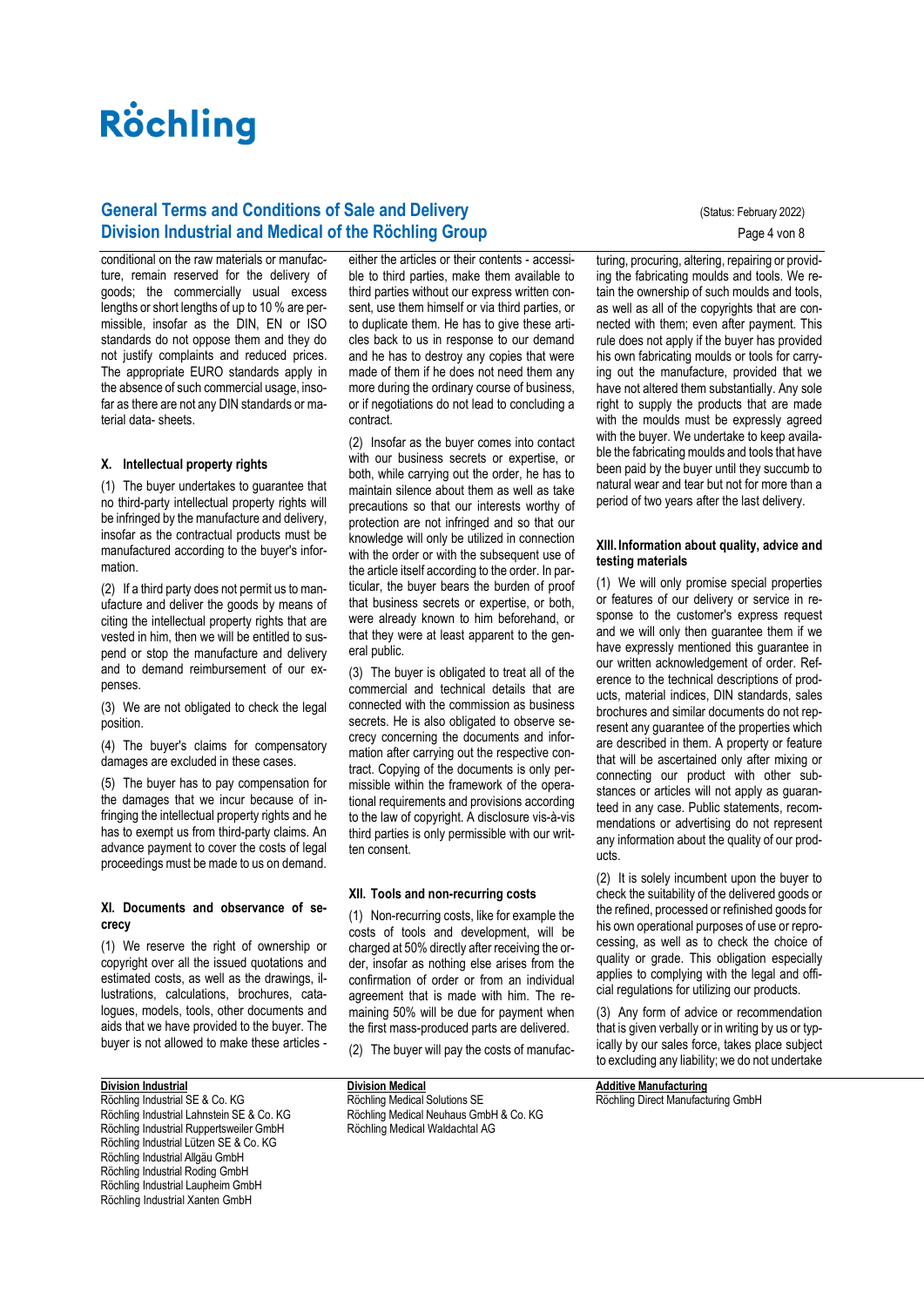# **General Terms and Conditions of Sale and Delivery Concrete Conducts** (Status: February 2022) **Division Industrial and Medical of the Röchling Group** Page 4 von 8

conditional on the raw materials or manufacture, remain reserved for the delivery of goods; the commercially usual excess lengths or short lengths of up to 10 % are permissible, insofar as the DIN, EN or ISO standards do not oppose them and they do not justify complaints and reduced prices. The appropriate EURO standards apply in the absence of such commercial usage, insofar as there are not any DIN standards or material data- sheets.

## **X. Intellectual property rights**

(1) The buyer undertakes to guarantee that no third-party intellectual property rights will be infringed by the manufacture and delivery, insofar as the contractual products must be manufactured according to the buyer's information.

(2) If a third party does not permit us to manufacture and deliver the goods by means of citing the intellectual property rights that are vested in him, then we will be entitled to suspend or stop the manufacture and delivery and to demand reimbursement of our expenses.

(3) We are not obligated to check the legal position.

(4) The buyer's claims for compensatory damages are excluded in these cases.

(5) The buyer has to pay compensation for the damages that we incur because of infringing the intellectual property rights and he has to exempt us from third-party claims. An advance payment to cover the costs of legal proceedings must be made to us on demand.

## **XI. Documents and observance of secrecy**

(1) We reserve the right of ownership or copyright over all the issued quotations and estimated costs, as well as the drawings, illustrations, calculations, brochures, catalogues, models, tools, other documents and aids that we have provided to the buyer. The buyer is not allowed to make these articles -

## **Division Industrial**

Röchling Industrial SE & Co. KG Röchling Industrial Lahnstein SE & Co. KG Röchling Industrial Ruppertsweiler GmbH Röchling Industrial Lützen SE & Co. KG Röchling Industrial Allgäu GmbH Röchling Industrial Roding GmbH Röchling Industrial Laupheim GmbH Röchling Industrial Xanten GmbH

either the articles or their contents - accessible to third parties, make them available to third parties without our express written consent, use them himself or via third parties, or to duplicate them. He has to give these articles back to us in response to our demand and he has to destroy any copies that were made of them if he does not need them any more during the ordinary course of business, or if negotiations do not lead to concluding a contract.

(2) Insofar as the buyer comes into contact with our business secrets or expertise, or both, while carrying out the order, he has to maintain silence about them as well as take precautions so that our interests worthy of protection are not infringed and so that our knowledge will only be utilized in connection with the order or with the subsequent use of the article itself according to the order. In particular, the buyer bears the burden of proof that business secrets or expertise, or both, were already known to him beforehand, or that they were at least apparent to the general public.

(3) The buyer is obligated to treat all of the commercial and technical details that are connected with the commission as business secrets. He is also obligated to observe secrecy concerning the documents and information after carrying out the respective contract. Copying of the documents is only permissible within the framework of the operational requirements and provisions according to the law of copyright. A disclosure vis-à-vis third parties is only permissible with our written consent.

#### **XII. Tools and non-recurring costs**

(1) Non-recurring costs, like for example the costs of tools and development, will be charged at 50% directly after receiving the order, insofar as nothing else arises from the confirmation of order or from an individual agreement that is made with him. The remaining 50% will be due for payment when the first mass-produced parts are delivered.

(2) The buyer will pay the costs of manufac-

**Division Medical** Röchling Medical Solutions SE Röchling Medical Neuhaus GmbH & Co. KG Röchling Medical Waldachtal AG

turing, procuring, altering, repairing or providing the fabricating moulds and tools. We retain the ownership of such moulds and tools, as well as all of the copyrights that are connected with them; even after payment. This rule does not apply if the buyer has provided his own fabricating moulds or tools for carrying out the manufacture, provided that we have not altered them substantially. Any sole right to supply the products that are made with the moulds must be expressly agreed with the buyer. We undertake to keep available the fabricating moulds and tools that have been paid by the buyer until they succumb to natural wear and tear but not for more than a period of two years after the last delivery.

## **XIII. Information about quality, advice and testing materials**

(1) We will only promise special properties or features of our delivery or service in response to the customer's express request and we will only then guarantee them if we have expressly mentioned this guarantee in our written acknowledgement of order. Reference to the technical descriptions of products, material indices, DIN standards, sales brochures and similar documents do not represent any guarantee of the properties which are described in them. A property or feature that will be ascertained only after mixing or connecting our product with other substances or articles will not apply as guaranteed in any case. Public statements, recommendations or advertising do not represent any information about the quality of our products.

(2) It is solely incumbent upon the buyer to check the suitability of the delivered goods or the refined, processed or refinished goods for his own operational purposes of use or reprocessing, as well as to check the choice of quality or grade. This obligation especially applies to complying with the legal and official regulations for utilizing our products.

(3) Any form of advice or recommendation that is given verbally or in writing by us or typically by our sales force, takes place subject to excluding any liability; we do not undertake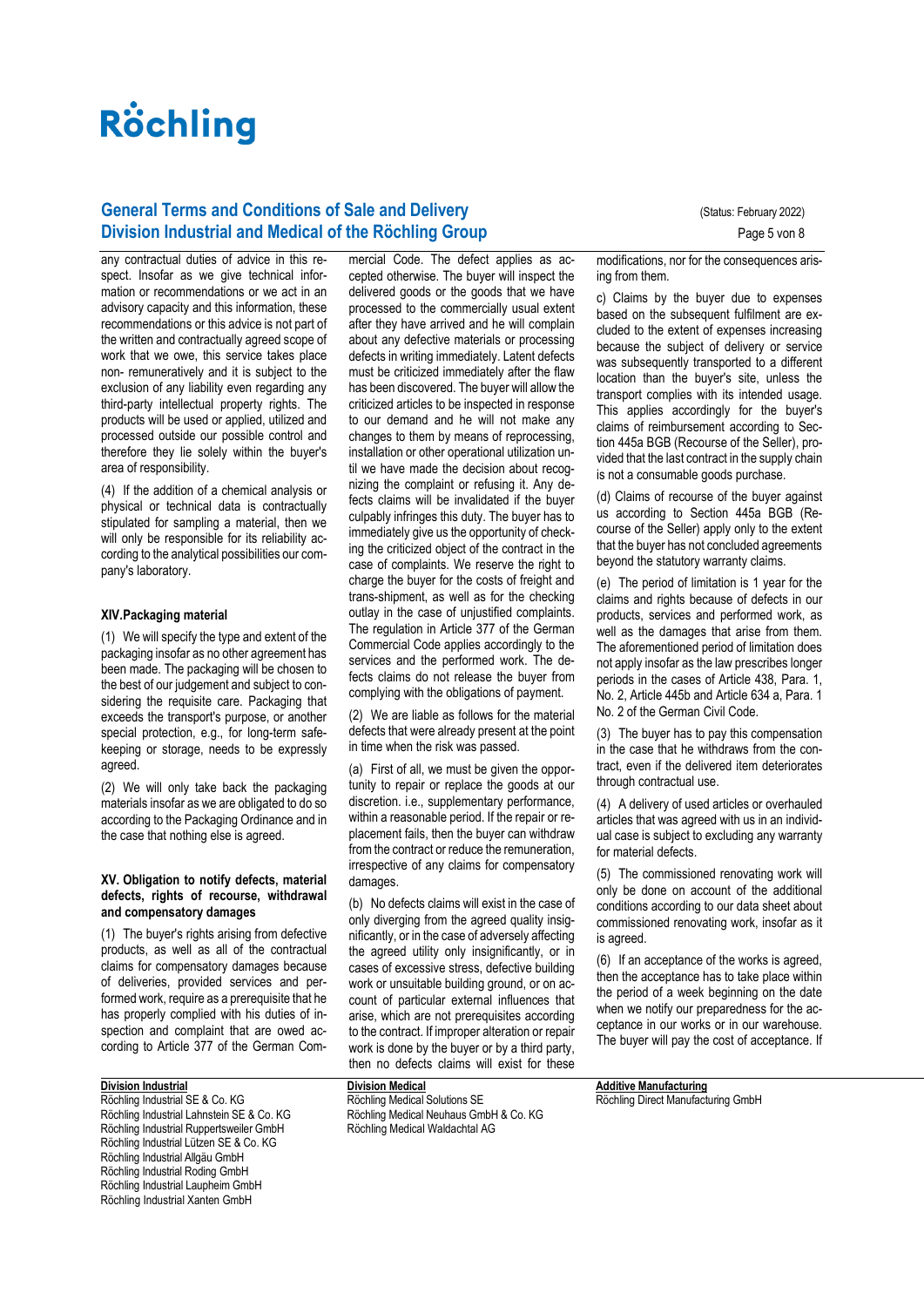# **General Terms and Conditions of Sale and Delivery Concrete August 2022** (Status: February 2022) **Division Industrial and Medical of the Röchling Group Page 5 von 8** Page 5 von 8

any contractual duties of advice in this respect. Insofar as we give technical information or recommendations or we act in an advisory capacity and this information, these recommendations or this advice is not part of the written and contractually agreed scope of work that we owe, this service takes place non- remuneratively and it is subject to the exclusion of any liability even regarding any third-party intellectual property rights. The products will be used or applied, utilized and processed outside our possible control and therefore they lie solely within the buyer's area of responsibility.

(4) If the addition of a chemical analysis or physical or technical data is contractually stipulated for sampling a material, then we will only be responsible for its reliability according to the analytical possibilities our company's laboratory.

### **XIV.Packaging material**

(1) We will specify the type and extent of the packaging insofar as no other agreement has been made. The packaging will be chosen to the best of our judgement and subject to considering the requisite care. Packaging that exceeds the transport's purpose, or another special protection, e.g., for long-term safekeeping or storage, needs to be expressly agreed.

(2) We will only take back the packaging materials insofar as we are obligated to do so according to the Packaging Ordinance and in the case that nothing else is agreed.

#### **XV. Obligation to notify defects, material defects, rights of recourse, withdrawal and compensatory damages**

(1) The buyer's rights arising from defective products, as well as all of the contractual claims for compensatory damages because of deliveries, provided services and performed work, require as a prerequisite that he has properly complied with his duties of inspection and complaint that are owed according to Article 377 of the German Com-

## **Division Industrial**

Röchling Industrial SE & Co. KG Röchling Industrial Lahnstein SE & Co. KG Röchling Industrial Ruppertsweiler GmbH Röchling Industrial Lützen SE & Co. KG Röchling Industrial Allgäu GmbH Röchling Industrial Roding GmbH Röchling Industrial Laupheim GmbH Röchling Industrial Xanten GmbH

mercial Code. The defect applies as accepted otherwise. The buyer will inspect the delivered goods or the goods that we have processed to the commercially usual extent after they have arrived and he will complain about any defective materials or processing defects in writing immediately. Latent defects must be criticized immediately after the flaw has been discovered. The buyer will allow the criticized articles to be inspected in response to our demand and he will not make any changes to them by means of reprocessing, installation or other operational utilization until we have made the decision about recognizing the complaint or refusing it. Any defects claims will be invalidated if the buyer culpably infringes this duty. The buyer has to immediately give us the opportunity of checking the criticized object of the contract in the case of complaints. We reserve the right to charge the buyer for the costs of freight and trans-shipment, as well as for the checking outlay in the case of unjustified complaints. The regulation in Article 377 of the German Commercial Code applies accordingly to the services and the performed work. The defects claims do not release the buyer from complying with the obligations of payment.

(2) We are liable as follows for the material defects that were already present at the point in time when the risk was passed.

(a) First of all, we must be given the opportunity to repair or replace the goods at our discretion. i.e., supplementary performance, within a reasonable period. If the repair or replacement fails, then the buyer can withdraw from the contract or reduce the remuneration, irrespective of any claims for compensatory damages.

(b) No defects claims will exist in the case of only diverging from the agreed quality insignificantly, or in the case of adversely affecting the agreed utility only insignificantly, or in cases of excessive stress, defective building work or unsuitable building ground, or on account of particular external influences that arise, which are not prerequisites according to the contract. If improper alteration or repair work is done by the buyer or by a third party, then no defects claims will exist for these

**Division Medical** Röchling Medical Solutions SE Röchling Medical Neuhaus GmbH & Co. KG Röchling Medical Waldachtal AG

modifications, nor for the consequences arising from them.

c) Claims by the buyer due to expenses based on the subsequent fulfilment are excluded to the extent of expenses increasing because the subject of delivery or service was subsequently transported to a different location than the buyer's site, unless the transport complies with its intended usage. This applies accordingly for the buyer's claims of reimbursement according to Section 445a BGB (Recourse of the Seller), provided that the last contract in the supply chain is not a consumable goods purchase.

(d) Claims of recourse of the buyer against us according to Section 445a BGB (Recourse of the Seller) apply only to the extent that the buyer has not concluded agreements beyond the statutory warranty claims.

(e) The period of limitation is 1 year for the claims and rights because of defects in our products, services and performed work, as well as the damages that arise from them. The aforementioned period of limitation does not apply insofar as the law prescribes longer periods in the cases of Article 438, Para. 1, No. 2, Article 445b and Article 634 a, Para. 1 No. 2 of the German Civil Code.

(3) The buyer has to pay this compensation in the case that he withdraws from the contract, even if the delivered item deteriorates through contractual use.

(4) A delivery of used articles or overhauled articles that was agreed with us in an individual case is subject to excluding any warranty for material defects.

(5) The commissioned renovating work will only be done on account of the additional conditions according to our data sheet about commissioned renovating work, insofar as it is agreed.

(6) If an acceptance of the works is agreed, then the acceptance has to take place within the period of a week beginning on the date when we notify our preparedness for the acceptance in our works or in our warehouse. The buyer will pay the cost of acceptance. If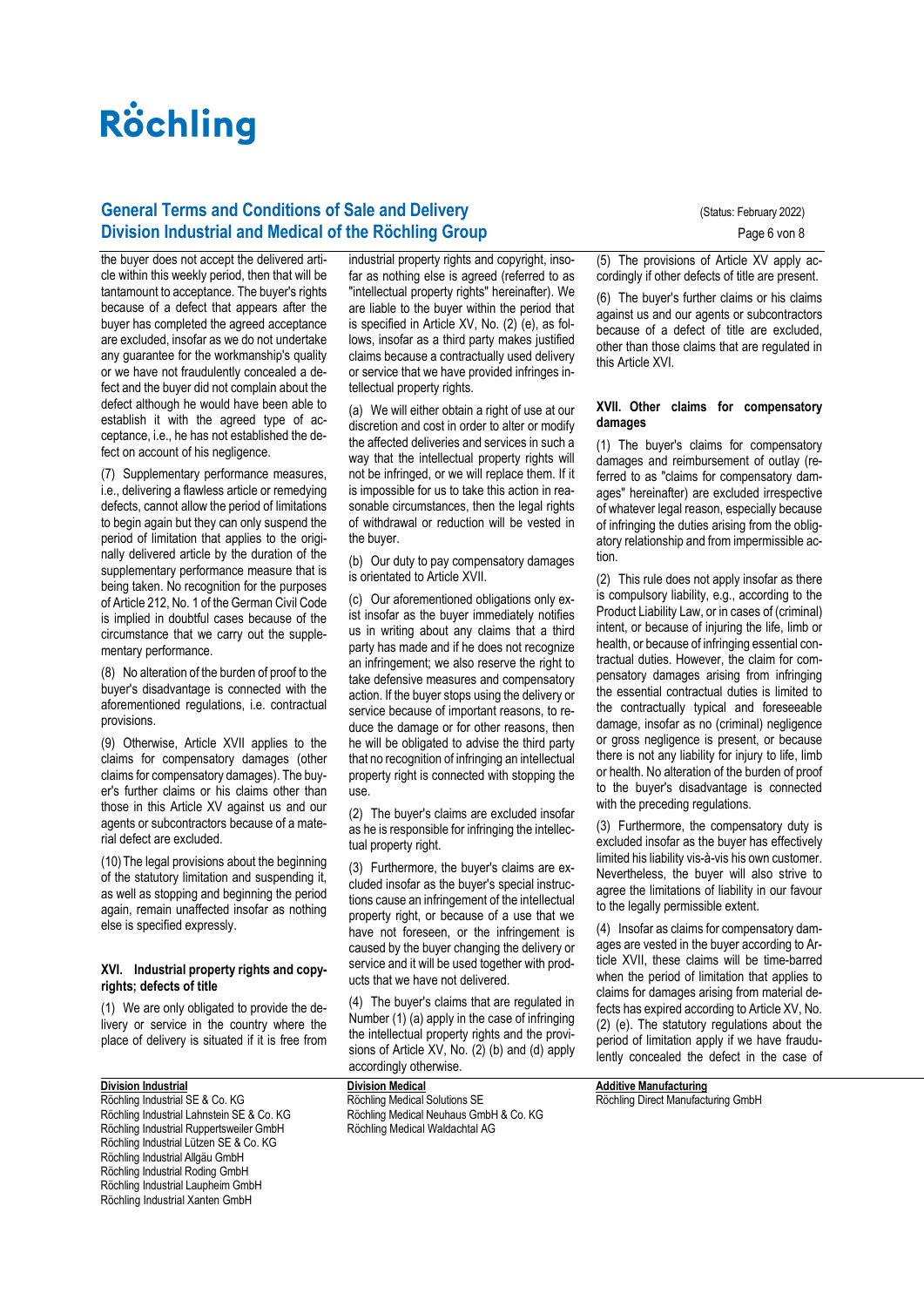# **General Terms and Conditions of Sale and Delivery Concrete August 2022** (Status: February 2022) **Division Industrial and Medical of the Röchling Group Page 6 von 8** Page 6 von 8

the buyer does not accept the delivered article within this weekly period, then that will be tantamount to acceptance. The buyer's rights because of a defect that appears after the buyer has completed the agreed acceptance are excluded, insofar as we do not undertake any guarantee for the workmanship's quality or we have not fraudulently concealed a defect and the buyer did not complain about the defect although he would have been able to establish it with the agreed type of acceptance, i.e., he has not established the defect on account of his negligence.

(7) Supplementary performance measures, i.e., delivering a flawless article or remedying defects, cannot allow the period of limitations to begin again but they can only suspend the period of limitation that applies to the originally delivered article by the duration of the supplementary performance measure that is being taken. No recognition for the purposes of Article 212, No. 1 of the German Civil Code is implied in doubtful cases because of the circumstance that we carry out the supplementary performance.

(8) No alteration of the burden of proof to the buyer's disadvantage is connected with the aforementioned regulations, i.e. contractual provisions.

(9) Otherwise, Article XVII applies to the claims for compensatory damages (other claims for compensatory damages). The buyer's further claims or his claims other than those in this Article XV against us and our agents or subcontractors because of a material defect are excluded.

(10)The legal provisions about the beginning of the statutory limitation and suspending it, as well as stopping and beginning the period again, remain unaffected insofar as nothing else is specified expressly.

### **XVI. Industrial property rights and copyrights; defects of title**

(1) We are only obligated to provide the delivery or service in the country where the place of delivery is situated if it is free from

### **Division Industrial**

Röchling Industrial SE & Co. KG Röchling Industrial Lahnstein SE & Co. KG Röchling Industrial Ruppertsweiler GmbH Röchling Industrial Lützen SE & Co. KG Röchling Industrial Allgäu GmbH Röchling Industrial Roding GmbH Röchling Industrial Laupheim GmbH Röchling Industrial Xanten GmbH

industrial property rights and copyright, insofar as nothing else is agreed (referred to as "intellectual property rights" hereinafter). We are liable to the buyer within the period that is specified in Article XV, No. (2) (e), as follows, insofar as a third party makes justified claims because a contractually used delivery or service that we have provided infringes intellectual property rights.

(a) We will either obtain a right of use at our discretion and cost in order to alter or modify the affected deliveries and services in such a way that the intellectual property rights will not be infringed, or we will replace them. If it is impossible for us to take this action in reasonable circumstances, then the legal rights of withdrawal or reduction will be vested in the buyer.

(b) Our duty to pay compensatory damages is orientated to Article XVII.

(c) Our aforementioned obligations only exist insofar as the buyer immediately notifies us in writing about any claims that a third party has made and if he does not recognize an infringement; we also reserve the right to take defensive measures and compensatory action. If the buyer stops using the delivery or service because of important reasons, to reduce the damage or for other reasons, then he will be obligated to advise the third party that no recognition of infringing an intellectual property right is connected with stopping the use.

(2) The buyer's claims are excluded insofar as he is responsible for infringing the intellectual property right.

(3) Furthermore, the buyer's claims are excluded insofar as the buyer's special instructions cause an infringement of the intellectual property right, or because of a use that we have not foreseen, or the infringement is caused by the buyer changing the delivery or service and it will be used together with products that we have not delivered.

(4) The buyer's claims that are regulated in Number (1) (a) apply in the case of infringing the intellectual property rights and the provisions of Article XV, No. (2) (b) and (d) apply accordingly otherwise.

**Division Medical** Röchling Medical Solutions SE Röchling Medical Neuhaus GmbH & Co. KG Röchling Medical Waldachtal AG

(5) The provisions of Article XV apply accordingly if other defects of title are present.

(6) The buyer's further claims or his claims against us and our agents or subcontractors because of a defect of title are excluded, other than those claims that are regulated in this Article XVI.

#### **XVII. Other claims for compensatory damages**

(1) The buyer's claims for compensatory damages and reimbursement of outlay (referred to as "claims for compensatory damages" hereinafter) are excluded irrespective of whatever legal reason, especially because of infringing the duties arising from the obligatory relationship and from impermissible action.

(2) This rule does not apply insofar as there is compulsory liability, e.g., according to the Product Liability Law, or in cases of (criminal) intent, or because of injuring the life, limb or health, or because of infringing essential contractual duties. However, the claim for compensatory damages arising from infringing the essential contractual duties is limited to the contractually typical and foreseeable damage, insofar as no (criminal) negligence or gross negligence is present, or because there is not any liability for injury to life, limb or health. No alteration of the burden of proof to the buyer's disadvantage is connected with the preceding regulations.

(3) Furthermore, the compensatory duty is excluded insofar as the buyer has effectively limited his liability vis-à-vis his own customer. Nevertheless, the buyer will also strive to agree the limitations of liability in our favour to the legally permissible extent.

(4) Insofar as claims for compensatory damages are vested in the buyer according to Article XVII, these claims will be time-barred when the period of limitation that applies to claims for damages arising from material defects has expired according to Article XV, No. (2) (e). The statutory regulations about the period of limitation apply if we have fraudulently concealed the defect in the case of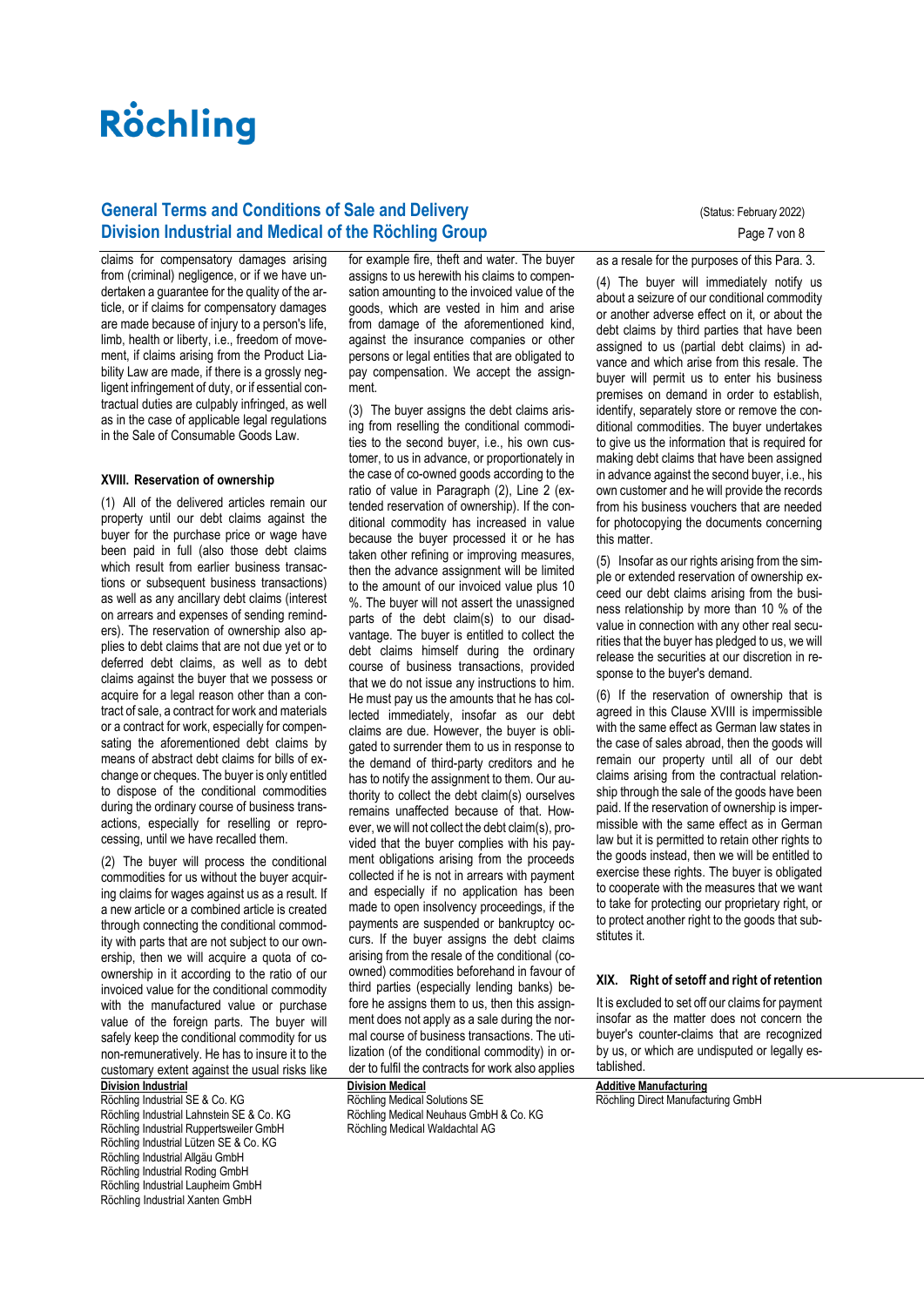# **General Terms and Conditions of Sale and Delivery Concrete August 2022** (Status: February 2022) **Division Industrial and Medical of the Röchling Group** Page 7 von 8

claims for compensatory damages arising from (criminal) negligence, or if we have undertaken a guarantee for the quality of the article, or if claims for compensatory damages are made because of injury to a person's life, limb, health or liberty, i.e., freedom of movement, if claims arising from the Product Liability Law are made, if there is a grossly negligent infringement of duty, or if essential contractual duties are culpably infringed, as well as in the case of applicable legal regulations in the Sale of Consumable Goods Law.

#### **XVIII. Reservation of ownership**

(1) All of the delivered articles remain our property until our debt claims against the buyer for the purchase price or wage have been paid in full (also those debt claims which result from earlier business transactions or subsequent business transactions) as well as any ancillary debt claims (interest on arrears and expenses of sending reminders). The reservation of ownership also applies to debt claims that are not due yet or to deferred debt claims, as well as to debt claims against the buyer that we possess or acquire for a legal reason other than a contract of sale, a contract for work and materials or a contract for work, especially for compensating the aforementioned debt claims by means of abstract debt claims for bills of exchange or cheques. The buyer is only entitled to dispose of the conditional commodities during the ordinary course of business transactions, especially for reselling or reprocessing, until we have recalled them.

(2) The buyer will process the conditional commodities for us without the buyer acquiring claims for wages against us as a result. If a new article or a combined article is created through connecting the conditional commodity with parts that are not subject to our ownership, then we will acquire a quota of coownership in it according to the ratio of our invoiced value for the conditional commodity with the manufactured value or purchase value of the foreign parts. The buyer will safely keep the conditional commodity for us non-remuneratively. He has to insure it to the customary extent against the usual risks like

# **Division Industrial**

Röchling Industrial SE & Co. KG Röchling Industrial Lahnstein SE & Co. KG Röchling Industrial Ruppertsweiler GmbH Röchling Industrial Lützen SE & Co. KG Röchling Industrial Allgäu GmbH Röchling Industrial Roding GmbH Röchling Industrial Laupheim GmbH Röchling Industrial Xanten GmbH

for example fire, theft and water. The buyer assigns to us herewith his claims to compensation amounting to the invoiced value of the goods, which are vested in him and arise from damage of the aforementioned kind, against the insurance companies or other persons or legal entities that are obligated to pay compensation. We accept the assignment.

(3) The buyer assigns the debt claims arising from reselling the conditional commodities to the second buyer, i.e., his own customer, to us in advance, or proportionately in the case of co-owned goods according to the ratio of value in Paragraph (2), Line 2 (extended reservation of ownership). If the conditional commodity has increased in value because the buyer processed it or he has taken other refining or improving measures, then the advance assignment will be limited to the amount of our invoiced value plus 10 %. The buyer will not assert the unassigned parts of the debt claim(s) to our disadvantage. The buyer is entitled to collect the debt claims himself during the ordinary course of business transactions, provided that we do not issue any instructions to him. He must pay us the amounts that he has collected immediately, insofar as our debt claims are due. However, the buyer is obligated to surrender them to us in response to the demand of third-party creditors and he has to notify the assignment to them. Our authority to collect the debt claim(s) ourselves remains unaffected because of that. However, we will not collect the debt claim(s), provided that the buyer complies with his payment obligations arising from the proceeds collected if he is not in arrears with payment and especially if no application has been made to open insolvency proceedings, if the payments are suspended or bankruptcy occurs. If the buyer assigns the debt claims arising from the resale of the conditional (coowned) commodities beforehand in favour of third parties (especially lending banks) before he assigns them to us, then this assignment does not apply as a sale during the normal course of business transactions. The utilization (of the conditional commodity) in order to fulfil the contracts for work also applies

# **Division Medical**

Röchling Medical Solutions SE Röchling Medical Neuhaus GmbH & Co. KG Röchling Medical Waldachtal AG

as a resale for the purposes of this Para. 3.

(4) The buyer will immediately notify us about a seizure of our conditional commodity or another adverse effect on it, or about the debt claims by third parties that have been assigned to us (partial debt claims) in advance and which arise from this resale. The buyer will permit us to enter his business premises on demand in order to establish, identify, separately store or remove the conditional commodities. The buyer undertakes to give us the information that is required for making debt claims that have been assigned in advance against the second buyer, i.e., his own customer and he will provide the records from his business vouchers that are needed for photocopying the documents concerning this matter.

(5) Insofar as our rights arising from the simple or extended reservation of ownership exceed our debt claims arising from the business relationship by more than 10 % of the value in connection with any other real securities that the buyer has pledged to us, we will release the securities at our discretion in response to the buyer's demand.

(6) If the reservation of ownership that is agreed in this Clause XVIII is impermissible with the same effect as German law states in the case of sales abroad, then the goods will remain our property until all of our debt claims arising from the contractual relationship through the sale of the goods have been paid. If the reservation of ownership is impermissible with the same effect as in German law but it is permitted to retain other rights to the goods instead, then we will be entitled to exercise these rights. The buyer is obligated to cooperate with the measures that we want to take for protecting our proprietary right, or to protect another right to the goods that substitutes it.

## **XIX. Right of setoff and right of retention**

It is excluded to set off our claims for payment insofar as the matter does not concern the buyer's counter-claims that are recognized by us, or which are undisputed or legally established.